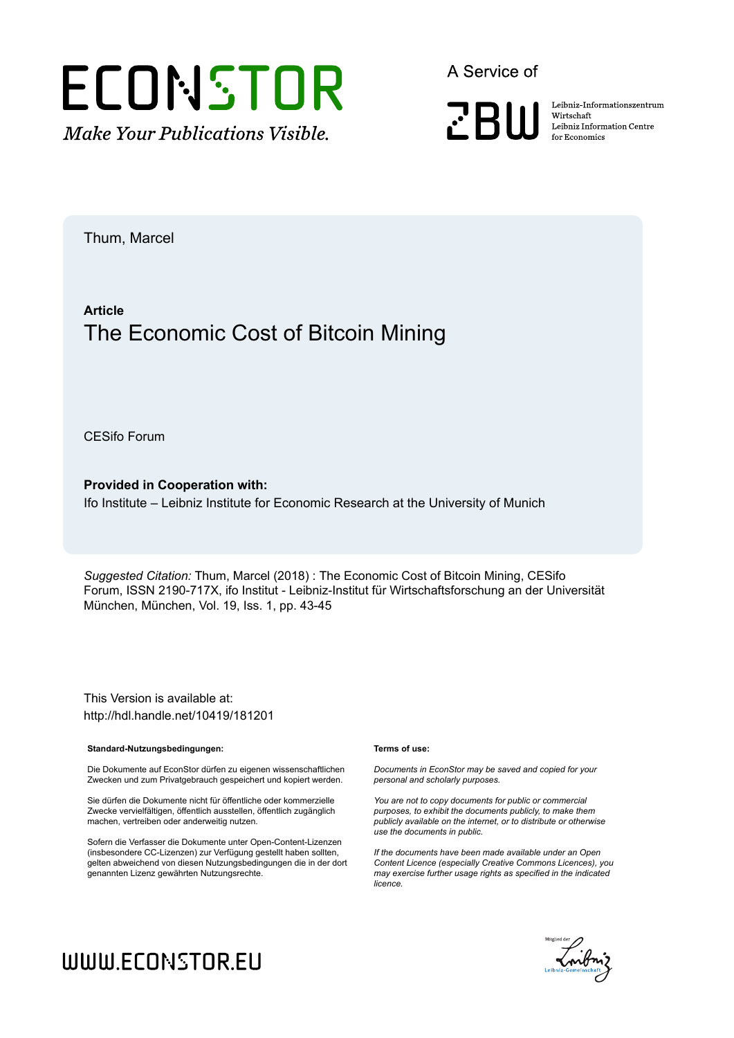

A Service of

**PRIII** 

Leibniz-Informationszentrum Wirtschaft Leibniz Information Centre for Economics

Thum, Marcel

# **Article** The Economic Cost of Bitcoin Mining

CESifo Forum

**Provided in Cooperation with:** Ifo Institute – Leibniz Institute for Economic Research at the University of Munich

*Suggested Citation:* Thum, Marcel (2018) : The Economic Cost of Bitcoin Mining, CESifo Forum, ISSN 2190-717X, ifo Institut - Leibniz-Institut für Wirtschaftsforschung an der Universität München, München, Vol. 19, Iss. 1, pp. 43-45

This Version is available at: http://hdl.handle.net/10419/181201

### **Standard-Nutzungsbedingungen:**

Die Dokumente auf EconStor dürfen zu eigenen wissenschaftlichen Zwecken und zum Privatgebrauch gespeichert und kopiert werden.

Sie dürfen die Dokumente nicht für öffentliche oder kommerzielle Zwecke vervielfältigen, öffentlich ausstellen, öffentlich zugänglich machen, vertreiben oder anderweitig nutzen.

Sofern die Verfasser die Dokumente unter Open-Content-Lizenzen (insbesondere CC-Lizenzen) zur Verfügung gestellt haben sollten, gelten abweichend von diesen Nutzungsbedingungen die in der dort genannten Lizenz gewährten Nutzungsrechte.

### **Terms of use:**

*Documents in EconStor may be saved and copied for your personal and scholarly purposes.*

*You are not to copy documents for public or commercial purposes, to exhibit the documents publicly, to make them publicly available on the internet, or to distribute or otherwise use the documents in public.*

*If the documents have been made available under an Open Content Licence (especially Creative Commons Licences), you may exercise further usage rights as specified in the indicated licence.*



# WWW.ECONSTOR.EU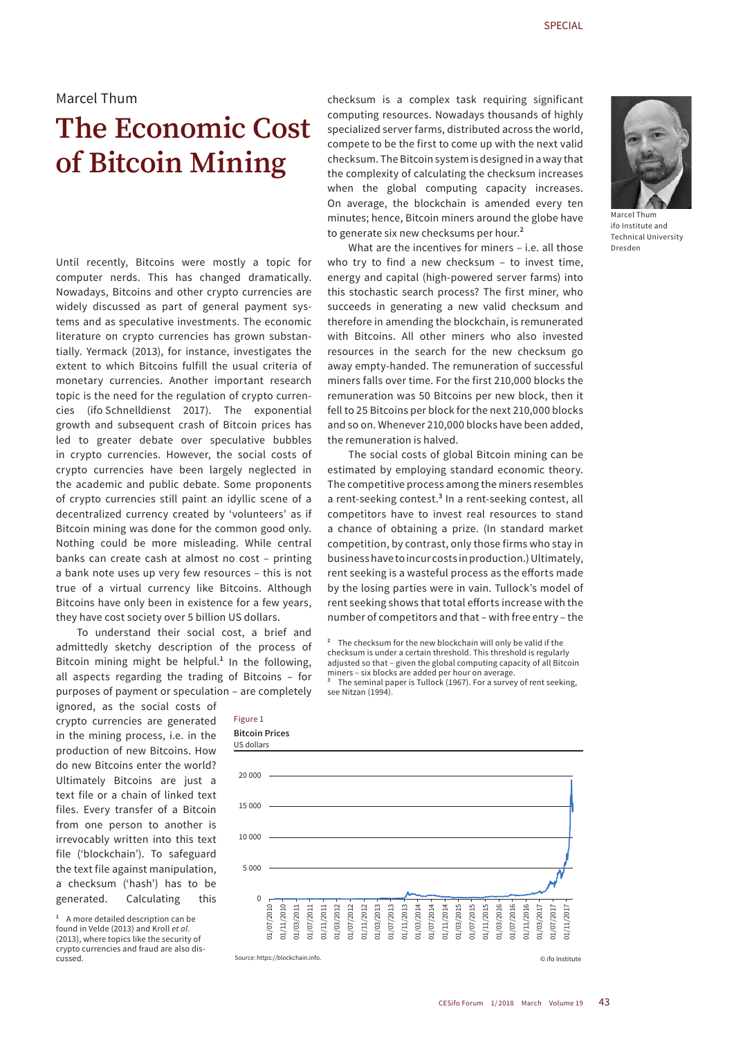## Marcel Thum

# **The Economic Cost of Bitcoin Mining**

Until recently, Bitcoins were mostly a topic for computer nerds. This has changed dramatically. Nowadays, Bitcoins and other crypto currencies are widely discussed as part of general payment systems and as speculative investments. The economic literature on crypto currencies has grown substantially. Yermack (2013), for instance, investigates the extent to which Bitcoins fulfill the usual criteria of monetary currencies. Another important research topic is the need for the regulation of crypto currencies (ifo Schnelldienst 2017). The exponential growth and subsequent crash of Bitcoin prices has led to greater debate over speculative bubbles in crypto currencies. However, the social costs of crypto currencies have been largely neglected in the academic and public debate. Some proponents of crypto currencies still paint an idyllic scene of a decentralized currency created by 'volunteers' as if Bitcoin mining was done for the common good only. Nothing could be more misleading. While central banks can create cash at almost no cost – printing a bank note uses up very few resources – this is not true of a virtual currency like Bitcoins. Although Bitcoins have only been in existence for a few years, they have cost society over 5 billion US dollars.

To understand their social cost, a brief and admittedly sketchy description of the process of Bitcoin mining might be helpful.**<sup>1</sup>** In the following, all aspects regarding the trading of Bitcoins – for purposes of payment or speculation – are completely

ignored, as the social costs of crypto currencies are generated in the mining process, i.e. in the production of new Bitcoins. How do new Bitcoins enter the world? Ultimately Bitcoins are just a text file or a chain of linked text files. Every transfer of a Bitcoin from one person to another is irrevocably written into this text file ('blockchain'). To safeguard the text file against manipulation, a checksum ('hash') has to be generated. Calculating this

**<sup>1</sup>** A more detailed description can be found in Velde (2013) and Kroll *et al*. (2013), where topics like the security of crypto currencies and fraud are also discussed.

checksum is a complex task requiring significant computing resources. Nowadays thousands of highly specialized server farms, distributed across the world, compete to be the first to come up with the next valid checksum. The Bitcoin system is designed in a way that the complexity of calculating the checksum increases when the global computing capacity increases. On average, the blockchain is amended every ten minutes; hence, Bitcoin miners around the globe have to generate six new checksums per hour.**<sup>2</sup>**

What are the incentives for miners – i.e. all those who try to find a new checksum – to invest time, energy and capital (high-powered server farms) into this stochastic search process? The first miner, who succeeds in generating a new valid checksum and therefore in amending the blockchain, is remunerated with Bitcoins. All other miners who also invested resources in the search for the new checksum go away empty-handed. The remuneration of successful miners falls over time. For the first 210,000 blocks the remuneration was 50 Bitcoins per new block, then it fell to 25 Bitcoins per block for the next 210,000 blocks and so on. Whenever 210,000 blocks have been added, the remuneration is halved.

The social costs of global Bitcoin mining can be estimated by employing standard economic theory. The competitive process among the miners resembles a rent-seeking contest.<sup>3</sup> In a rent-seeking contest, all competitors have to invest real resources to stand a chance of obtaining a prize. (In standard market competition, by contrast, only those firms who stay in business have to incur costs in production.) Ultimately, rent seeking is a wasteful process as the efforts made by the losing parties were in vain. Tullock's model of rent seeking shows that total efforts increase with the number of competitors and that – with free entry – the

**<sup>2</sup>** The checksum for the new blockchain will only be valid if the checksum is under a certain threshold. This threshold is regularly adjusted so that – given the global computing capacity of all Bitcoin miners – six blocks are added per hour on average.

**<sup>3</sup>** The seminal paper is Tullock (1967). For a survey of rent seeking, see Nitzan (1994).



Source: https://blockchain.info. © ifo Institute

Figure 1



Marcel Thum ifo Institute and Technical University Dresden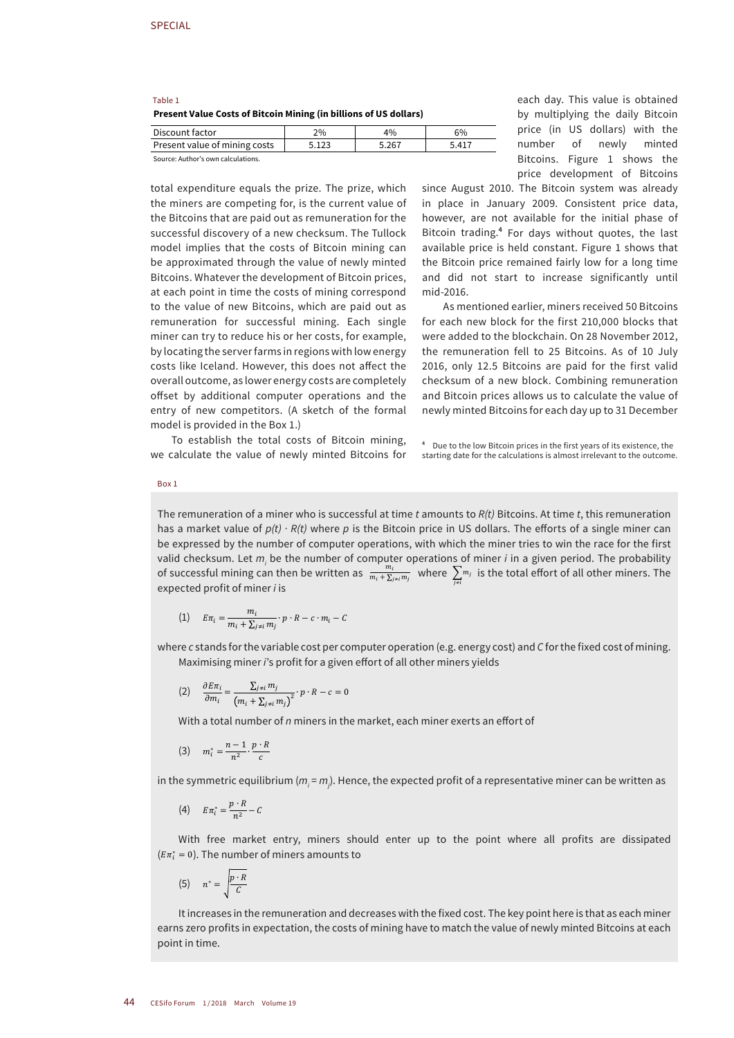|         | Present Value Costs of Bitcoin Mining (in billions of US dollars) |  |
|---------|-------------------------------------------------------------------|--|
| Table 1 |                                                                   |  |

| Discount factor                    | 2%    | 4%    | 6%    |  |
|------------------------------------|-------|-------|-------|--|
| Present value of mining costs      | 5.123 | 5.267 | 5.417 |  |
| Source: Author's own calculations. |       |       |       |  |

total expenditure equals the prize. The prize, which the miners are competing for, is the current value of the Bitcoins that are paid out as remuneration for the successful discovery of a new checksum. The Tullock model implies that the costs of Bitcoin mining can be approximated through the value of newly minted Bitcoins. Whatever the development of Bitcoin prices, at each point in time the costs of mining correspond to the value of new Bitcoins, which are paid out as remuneration for successful mining. Each single miner can try to reduce his or her costs, for example, by locating the server farms in regions with low energy costs like Iceland. However, this does not affect the overall outcome, as lower energy costs are completely offset by additional computer operations and the entry of new competitors. (A sketch of the formal model is provided in the Box 1.)

To establish the total costs of Bitcoin mining, we calculate the value of newly minted Bitcoins for each day. This value is obtained by multiplying the daily Bitcoin price (in US dollars) with the number of newly minted Bitcoins. Figure 1 shows the price development of Bitcoins

since August 2010. The Bitcoin system was already in place in January 2009. Consistent price data, however, are not available for the initial phase of Bitcoin trading.**<sup>4</sup>** For days without quotes, the last available price is held constant. Figure 1 shows that the Bitcoin price remained fairly low for a long time and did not start to increase significantly until mid-2016.

As mentioned earlier, miners received 50 Bitcoins for each new block for the first 210,000 blocks that were added to the blockchain. On 28 November 2012, the remuneration fell to 25 Bitcoins. As of 10 July 2016, only 12.5 Bitcoins are paid for the first valid checksum of a new block. Combining remuneration and Bitcoin prices allows us to calculate the value of newly minted Bitcoins for each day up to 31 December

**<sup>4</sup>** Due to the low Bitcoin prices in the first years of its existence, the starting date for the calculations is almost irrelevant to the outcome.

Box 1

The remuneration of a miner who is successful at time *t* amounts to *R(t)* Bitcoins. At time *t*, this remuneration has a market value of p(t) ∙ R(t) where *p* is the Bitcoin price in US dollars. The efforts of a single miner can be expressed by the number of computer operations, with which the miner tries to win the race for the first valid checksum. Let  $m_i$  be the number of computer operations of miner *i* in a given period. The probability of successful mining can then be written as  $\frac{m_i}{m_i + \sum_{j \neq i} m_j}$  where  $\sum_{j \neq i} m_j$  is the total effort of all other miners. The expected profit of miner *i* is

(1) 
$$
E\pi_i = \frac{m_i}{m_i + \sum_{j \neq i} m_j} \cdot p \cdot R - c \cdot m_i - C
$$

where *c* stands for the variable cost per computer operation (e.g. energy cost) and *C* for the fixed cost of mining. Maximising miner *i*'s profit for a given effort of all other miners yields

$$
(2) \quad \frac{\partial E\pi_i}{\partial m_i} = \frac{\sum_{j\neq i} m_j}{(m_i + \sum_{j\neq i} m_j)^2} \cdot p \cdot R - c = 0
$$

With a total number of *n* miners in the market, each miner exerts an effort of

$$
(3) \qquad m_i^* = \frac{n-1}{n^2} \cdot \frac{p \cdot R}{c}
$$

in the symmetric equilibrium ( $m_{_i}$  =  $m_{_j}$ ). Hence, the expected profit of a representative miner can be written as

$$
(4) \qquad E\pi_i^* = \frac{p \cdot R}{n^2} - C
$$

With free market entry, miners should enter up to the point where all profits are dissipated  $(E\pi_i^*=0)$ . The number of miners amounts to

$$
(5) \qquad n^* = \sqrt{\frac{p \cdot R}{C}}
$$

It increases in the remuneration and decreases with the fixed cost. The key point here is that as each miner earns zero profits in expectation, the costs of mining have to match the value of newly minted Bitcoins at each point in time.